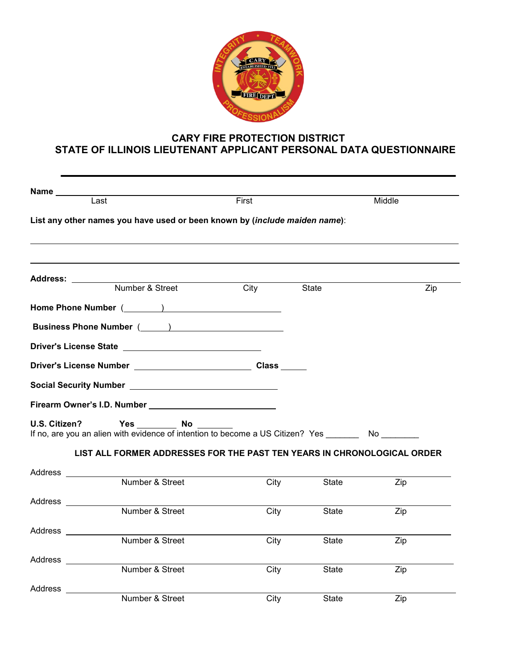

# **CARY FIRE PROTECTION DISTRICT STATE OF ILLINOIS LIEUTENANT APPLICANT PERSONAL DATA QUESTIONNAIRE**

| Name                 |                                                                                                                  |       |       |        |
|----------------------|------------------------------------------------------------------------------------------------------------------|-------|-------|--------|
|                      | Last                                                                                                             | First |       | Middle |
|                      | List any other names you have used or been known by (include maiden name):                                       |       |       |        |
| Address: _______     |                                                                                                                  |       |       |        |
|                      | Number & Street                                                                                                  | City  | State | Zip    |
|                      | Home Phone Number (Changel Communication Communication Communication Communication Communication Communication   |       |       |        |
|                      | <b>Business Phone Number (Casset Article 2018)</b>                                                               |       |       |        |
|                      | Driver's License State New York Changes and State New York Changes and State New York Changes and State Assembly |       |       |        |
|                      |                                                                                                                  |       |       |        |
|                      |                                                                                                                  |       |       |        |
|                      | Firearm Owner's I.D. Number Manuscript Communication of the U.S. Assembly                                        |       |       |        |
| U.S. Citizen?        | Yes _________ No _______<br>If no, are you an alien with evidence of intention to become a US Citizen? Yes No    |       |       |        |
|                      | LIST ALL FORMER ADDRESSES FOR THE PAST TEN YEARS IN CHRONOLOGICAL ORDER                                          |       |       |        |
| Address ___________  |                                                                                                                  |       |       |        |
|                      | Number & Street                                                                                                  | City  | State | Zip    |
| Address ___________  |                                                                                                                  |       |       |        |
|                      | Number & Street                                                                                                  | City  | State | Zip    |
| Address ____________ | Number & Street                                                                                                  |       |       |        |
|                      |                                                                                                                  | City  | State | Zip    |
| Address ________     | Number & Street                                                                                                  | City  | State | Zip    |
|                      |                                                                                                                  |       |       |        |
| Address __________   | Number & Street                                                                                                  | City  | State | Zip    |
|                      |                                                                                                                  |       |       |        |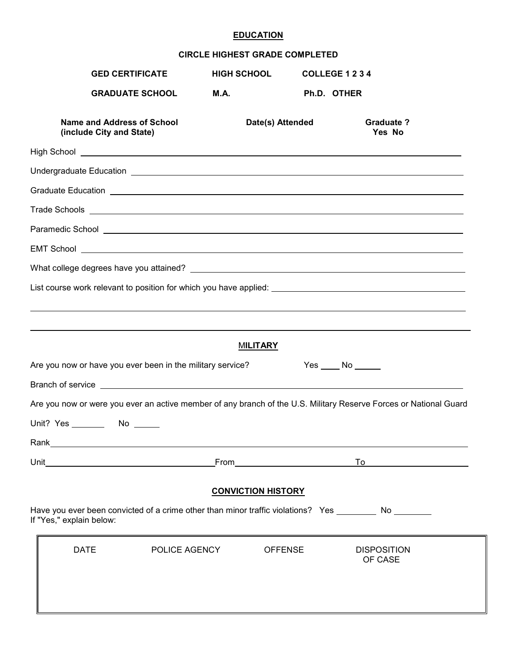## **EDUCATION**

### **CIRCLE HIGHEST GRADE COMPLETED**

| <b>GED CERTIFICATE</b>                                                                                                                                                                                                               | <b>HIGH SCHOOL</b>        | COLLEGE 1 2 3 4                          |                               |  |
|--------------------------------------------------------------------------------------------------------------------------------------------------------------------------------------------------------------------------------------|---------------------------|------------------------------------------|-------------------------------|--|
| <b>GRADUATE SCHOOL</b>                                                                                                                                                                                                               | M.A.                      | Ph.D. OTHER                              |                               |  |
| <b>Name and Address of School</b><br>(include City and State)                                                                                                                                                                        | Date(s) Attended          |                                          | <b>Graduate?</b><br>Yes No    |  |
|                                                                                                                                                                                                                                      |                           |                                          |                               |  |
| Undergraduate Education Learn and Contract and Contract and Contract and Contract and Contract and Contract and                                                                                                                      |                           |                                          |                               |  |
| Graduate Education <b>contract and the contract of the contract of the contract of the contract of the contract of the contract of the contract of the contract of the contract of the contract of the contract of the contract </b> |                           |                                          |                               |  |
| Trade Schools <u>experience</u> and the contract of the contract of the contract of the contract of the contract of the contract of the contract of the contract of the contract of the contract of the contract of the contract of  |                           |                                          |                               |  |
|                                                                                                                                                                                                                                      |                           |                                          |                               |  |
|                                                                                                                                                                                                                                      |                           |                                          |                               |  |
|                                                                                                                                                                                                                                      |                           |                                          |                               |  |
|                                                                                                                                                                                                                                      |                           |                                          |                               |  |
|                                                                                                                                                                                                                                      |                           |                                          |                               |  |
|                                                                                                                                                                                                                                      |                           |                                          |                               |  |
|                                                                                                                                                                                                                                      | <b>MILITARY</b>           |                                          |                               |  |
| Are you now or have you ever been in the military service?                                                                                                                                                                           |                           | $Yes \_\_No \_\_$                        |                               |  |
|                                                                                                                                                                                                                                      |                           |                                          |                               |  |
| Are you now or were you ever an active member of any branch of the U.S. Military Reserve Forces or National Guard                                                                                                                    |                           |                                          |                               |  |
| Unit? Yes ________ No _____                                                                                                                                                                                                          |                           |                                          |                               |  |
| Rank_                                                                                                                                                                                                                                |                           |                                          |                               |  |
|                                                                                                                                                                                                                                      |                           | <u>From_____________________________</u> | To <u>_________</u>           |  |
|                                                                                                                                                                                                                                      |                           |                                          |                               |  |
|                                                                                                                                                                                                                                      | <b>CONVICTION HISTORY</b> |                                          |                               |  |
| Have you ever been convicted of a crime other than minor traffic violations? Yes _________ No _______<br>If "Yes," explain below:                                                                                                    |                           |                                          |                               |  |
| <b>DATE</b><br>POLICE AGENCY                                                                                                                                                                                                         |                           | <b>OFFENSE</b>                           | <b>DISPOSITION</b><br>OF CASE |  |
|                                                                                                                                                                                                                                      |                           |                                          |                               |  |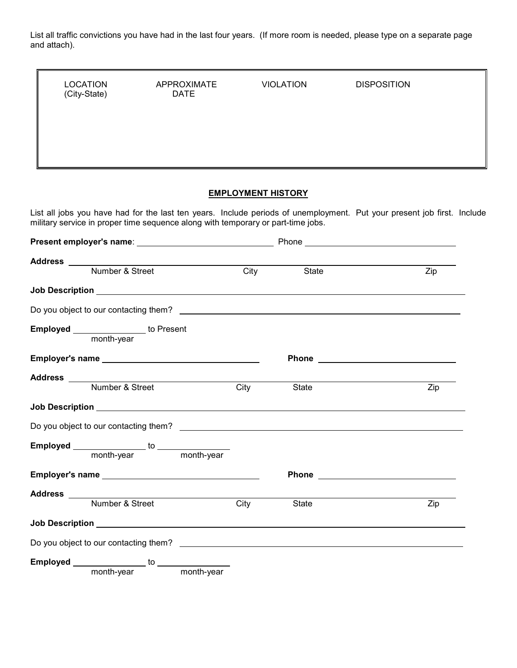List all traffic convictions you have had in the last four years. (If more room is needed, please type on a separate page and attach).

| <b>LOCATION</b><br>(City-State) |                                                                                  | <b>APPROXIMATE</b><br><b>DATE</b> |                           | <b>VIOLATION</b> | <b>DISPOSITION</b>                                                                                                                                                                                                                   |  |
|---------------------------------|----------------------------------------------------------------------------------|-----------------------------------|---------------------------|------------------|--------------------------------------------------------------------------------------------------------------------------------------------------------------------------------------------------------------------------------------|--|
|                                 |                                                                                  |                                   | <b>EMPLOYMENT HISTORY</b> |                  |                                                                                                                                                                                                                                      |  |
|                                 | military service in proper time sequence along with temporary or part-time jobs. |                                   |                           |                  | List all jobs you have had for the last ten years. Include periods of unemployment. Put your present job first. Include                                                                                                              |  |
|                                 |                                                                                  |                                   |                           |                  |                                                                                                                                                                                                                                      |  |
|                                 |                                                                                  |                                   |                           |                  |                                                                                                                                                                                                                                      |  |
|                                 |                                                                                  |                                   | City                      | State            | Zip                                                                                                                                                                                                                                  |  |
|                                 |                                                                                  |                                   |                           |                  |                                                                                                                                                                                                                                      |  |
|                                 |                                                                                  |                                   |                           |                  |                                                                                                                                                                                                                                      |  |
|                                 | Employed _______________ to Present                                              |                                   |                           |                  |                                                                                                                                                                                                                                      |  |
|                                 |                                                                                  |                                   |                           |                  | Phone <u>such and the set of the set of the set of the set of the set of the set of the set of the set of the set of the set of the set of the set of the set of the set of the set of the set of the set of the set of the set </u> |  |
|                                 |                                                                                  |                                   |                           |                  |                                                                                                                                                                                                                                      |  |
|                                 | Number & Street                                                                  |                                   | City                      | State            | Zip                                                                                                                                                                                                                                  |  |
|                                 |                                                                                  |                                   |                           |                  |                                                                                                                                                                                                                                      |  |
|                                 |                                                                                  |                                   |                           |                  |                                                                                                                                                                                                                                      |  |
|                                 |                                                                                  |                                   |                           |                  |                                                                                                                                                                                                                                      |  |
|                                 |                                                                                  |                                   |                           |                  |                                                                                                                                                                                                                                      |  |
|                                 |                                                                                  |                                   |                           |                  |                                                                                                                                                                                                                                      |  |
|                                 |                                                                                  |                                   |                           |                  |                                                                                                                                                                                                                                      |  |
|                                 | Address<br>Number & Street<br>City                                               |                                   |                           | State            | Zip                                                                                                                                                                                                                                  |  |
|                                 |                                                                                  |                                   |                           |                  |                                                                                                                                                                                                                                      |  |
|                                 |                                                                                  |                                   |                           |                  |                                                                                                                                                                                                                                      |  |
|                                 |                                                                                  |                                   |                           |                  |                                                                                                                                                                                                                                      |  |
|                                 | month-year month-year                                                            |                                   |                           |                  |                                                                                                                                                                                                                                      |  |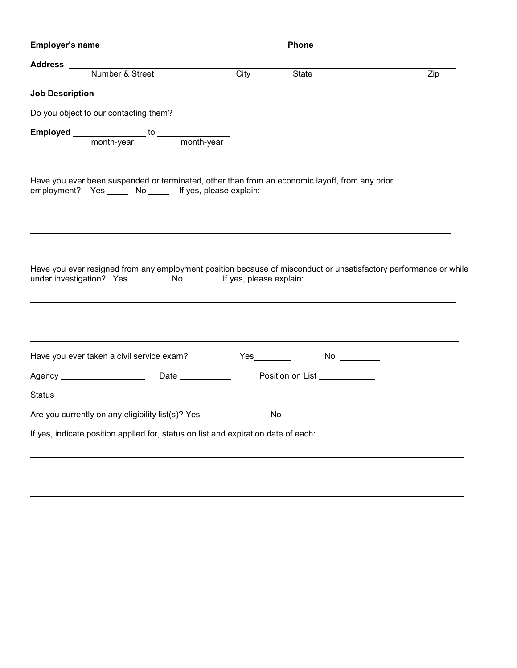| Address<br>Number & Street                                                       | City<br>State                                                                                                    | Zip |
|----------------------------------------------------------------------------------|------------------------------------------------------------------------------------------------------------------|-----|
|                                                                                  |                                                                                                                  |     |
|                                                                                  |                                                                                                                  |     |
|                                                                                  |                                                                                                                  |     |
| employment? Yes _____ No _____ If yes, please explain:                           | Have you ever been suspended or terminated, other than from an economic layoff, from any prior                   |     |
|                                                                                  |                                                                                                                  |     |
| under investigation? Yes _______ No _______ If yes, please explain:              | Have you ever resigned from any employment position because of misconduct or unsatisfactory performance or while |     |
| Have you ever taken a civil service exam?                                        | Yes__________    No _________                                                                                    |     |
|                                                                                  | Position on List                                                                                                 |     |
|                                                                                  |                                                                                                                  |     |
| Are you currently on any eligibility list(s)? Yes ______________________________ |                                                                                                                  |     |
|                                                                                  | If yes, indicate position applied for, status on list and expiration date of each: __________________________    |     |
|                                                                                  |                                                                                                                  |     |
|                                                                                  |                                                                                                                  |     |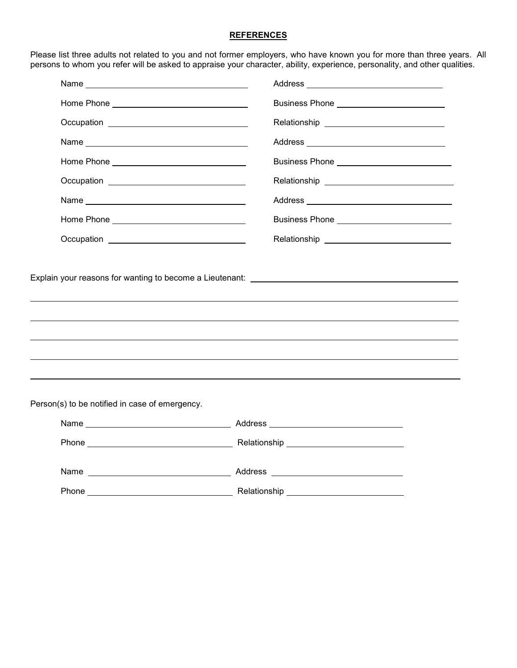### **REFERENCES**

Please list three adults not related to you and not former employers, who have known you for more than three years. All persons to whom you refer will be asked to appraise your character, ability, experience, personality, and other qualities.

| Name experience and a series of the series of the series of the series of the series of the series of the series of the series of the series of the series of the series of the series of the series of the series of the seri |                                                |  |
|--------------------------------------------------------------------------------------------------------------------------------------------------------------------------------------------------------------------------------|------------------------------------------------|--|
|                                                                                                                                                                                                                                | Business Phone ___________________________     |  |
|                                                                                                                                                                                                                                |                                                |  |
|                                                                                                                                                                                                                                |                                                |  |
|                                                                                                                                                                                                                                | Business Phone ______________________________  |  |
| Occupation _________________________________                                                                                                                                                                                   |                                                |  |
|                                                                                                                                                                                                                                |                                                |  |
|                                                                                                                                                                                                                                |                                                |  |
|                                                                                                                                                                                                                                | Relationship _________________________________ |  |
|                                                                                                                                                                                                                                |                                                |  |
|                                                                                                                                                                                                                                |                                                |  |
| Person(s) to be notified in case of emergency.                                                                                                                                                                                 |                                                |  |
|                                                                                                                                                                                                                                |                                                |  |
|                                                                                                                                                                                                                                |                                                |  |
|                                                                                                                                                                                                                                |                                                |  |
|                                                                                                                                                                                                                                |                                                |  |

 $\overline{\phantom{0}}$ 

 $\overline{\phantom{0}}$